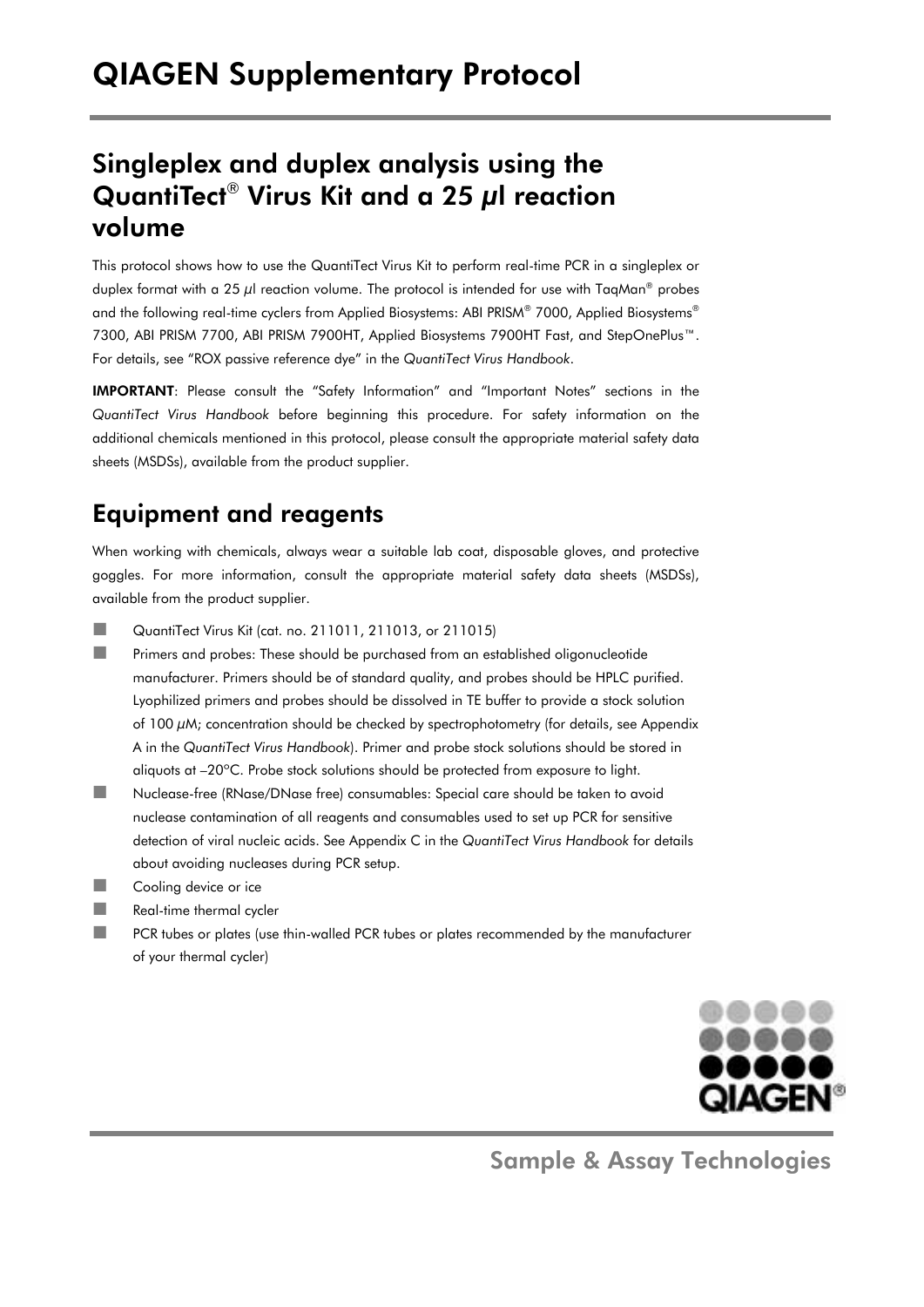# Singleplex and duplex analysis using the QuantiTect® Virus Kit and a 25 μl reaction volume

This protocol shows how to use the QuantiTect Virus Kit to perform real-time PCR in a singleplex or duplex format with a 25 μl reaction volume. The protocol is intended for use with TaqMan® probes and the following real-time cyclers from Applied Biosystems: ABI PRISM® 7000, Applied Biosystems® 7300, ABI PRISM 7700, ABI PRISM 7900HT, Applied Biosystems 7900HT Fast, and StepOnePlus™. For details, see "ROX passive reference dye" in the *QuantiTect Virus Handbook*.

IMPORTANT: Please consult the "Safety Information" and "Important Notes" sections in the *QuantiTect Virus Handbook* before beginning this procedure. For safety information on the additional chemicals mentioned in this protocol, please consult the appropriate material safety data sheets (MSDSs), available from the product supplier.

# Equipment and reagents

When working with chemicals, always wear a suitable lab coat, disposable gloves, and protective goggles. For more information, consult the appropriate material safety data sheets (MSDSs), available from the product supplier.

- **QuantiTect Virus Kit (cat. no. 211011, 211013, or 211015)**
- **Primers and probes: These should be purchased from an established oligonucleotide** manufacturer. Primers should be of standard quality, and probes should be HPLC purified. Lyophilized primers and probes should be dissolved in TE buffer to provide a stock solution of 100 μM; concentration should be checked by spectrophotometry (for details, see Appendix A in the *QuantiTect Virus Handbook*). Primer and probe stock solutions should be stored in aliquots at –20ºC. Probe stock solutions should be protected from exposure to light.
- Nuclease-free (RNase/DNase free) consumables: Special care should be taken to avoid nuclease contamination of all reagents and consumables used to set up PCR for sensitive detection of viral nucleic acids. See Appendix C in the *QuantiTect Virus Handbook* for details about avoiding nucleases during PCR setup.
- **Cooling device or ice**
- **Real-time thermal cycler**
- **PCR** tubes or plates (use thin-walled PCR tubes or plates recommended by the manufacturer of your thermal cycler)



Sample & Assay Technologies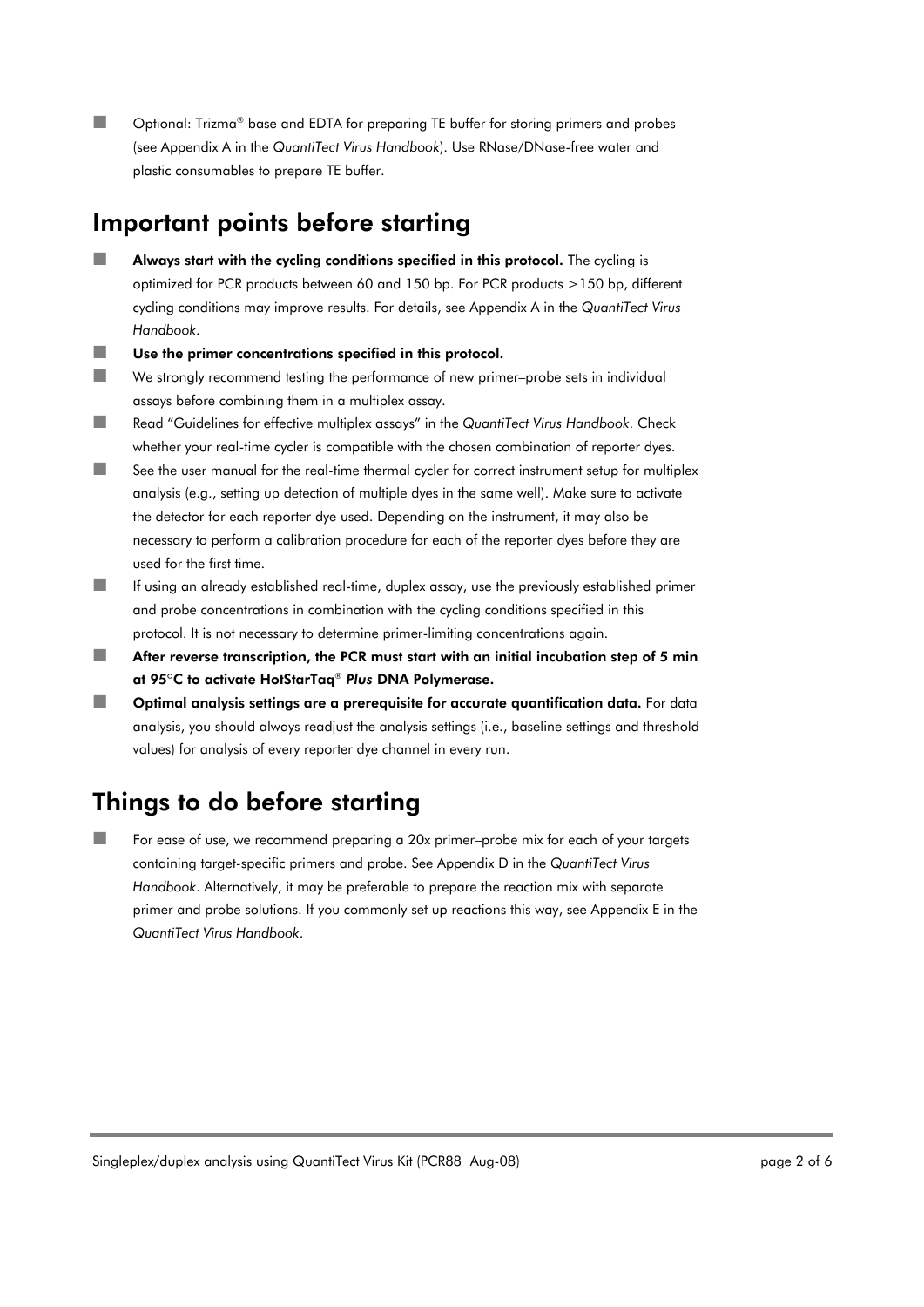■■ Optional: Trizma® base and EDTA for preparing TE buffer for storing primers and probes (see Appendix A in the *QuantiTect Virus Handbook*). Use RNase/DNase-free water and plastic consumables to prepare TE buffer.

### Important points before starting

- $\blacksquare$  Always start with the cycling conditions specified in this protocol. The cycling is optimized for PCR products between 60 and 150 bp. For PCR products >150 bp, different cycling conditions may improve results. For details, see Appendix A in the *QuantiTect Virus Handbook*.
- Use the primer concentrations specified in this protocol.
- We strongly recommend testing the performance of new primer–probe sets in individual assays before combining them in a multiplex assay.
- Read "Guidelines for effective multiplex assays" in the *QuantiTect Virus Handbook*. Check whether your real-time cycler is compatible with the chosen combination of reporter dyes.
- $\blacksquare$  See the user manual for the real-time thermal cycler for correct instrument setup for multiplex analysis (e.g., setting up detection of multiple dyes in the same well). Make sure to activate the detector for each reporter dye used. Depending on the instrument, it may also be necessary to perform a calibration procedure for each of the reporter dyes before they are used for the first time.
- If using an already established real-time, duplex assay, use the previously established primer and probe concentrations in combination with the cycling conditions specified in this protocol. It is not necessary to determine primer-limiting concentrations again.
- $\blacksquare$  After reverse transcription, the PCR must start with an initial incubation step of 5 min at 95ºC to activate HotStarTaq® *Plus* DNA Polymerase.
- $\blacksquare$  Optimal analysis settings are a prerequisite for accurate quantification data. For data analysis, you should always readjust the analysis settings (i.e., baseline settings and threshold values) for analysis of every reporter dye channel in every run.

## Things to do before starting

 For ease of use, we recommend preparing a 20x primer–probe mix for each of your targets containing target-specific primers and probe. See Appendix D in the *QuantiTect Virus Handbook*. Alternatively, it may be preferable to prepare the reaction mix with separate primer and probe solutions. If you commonly set up reactions this way, see Appendix E in the *QuantiTect Virus Handbook*.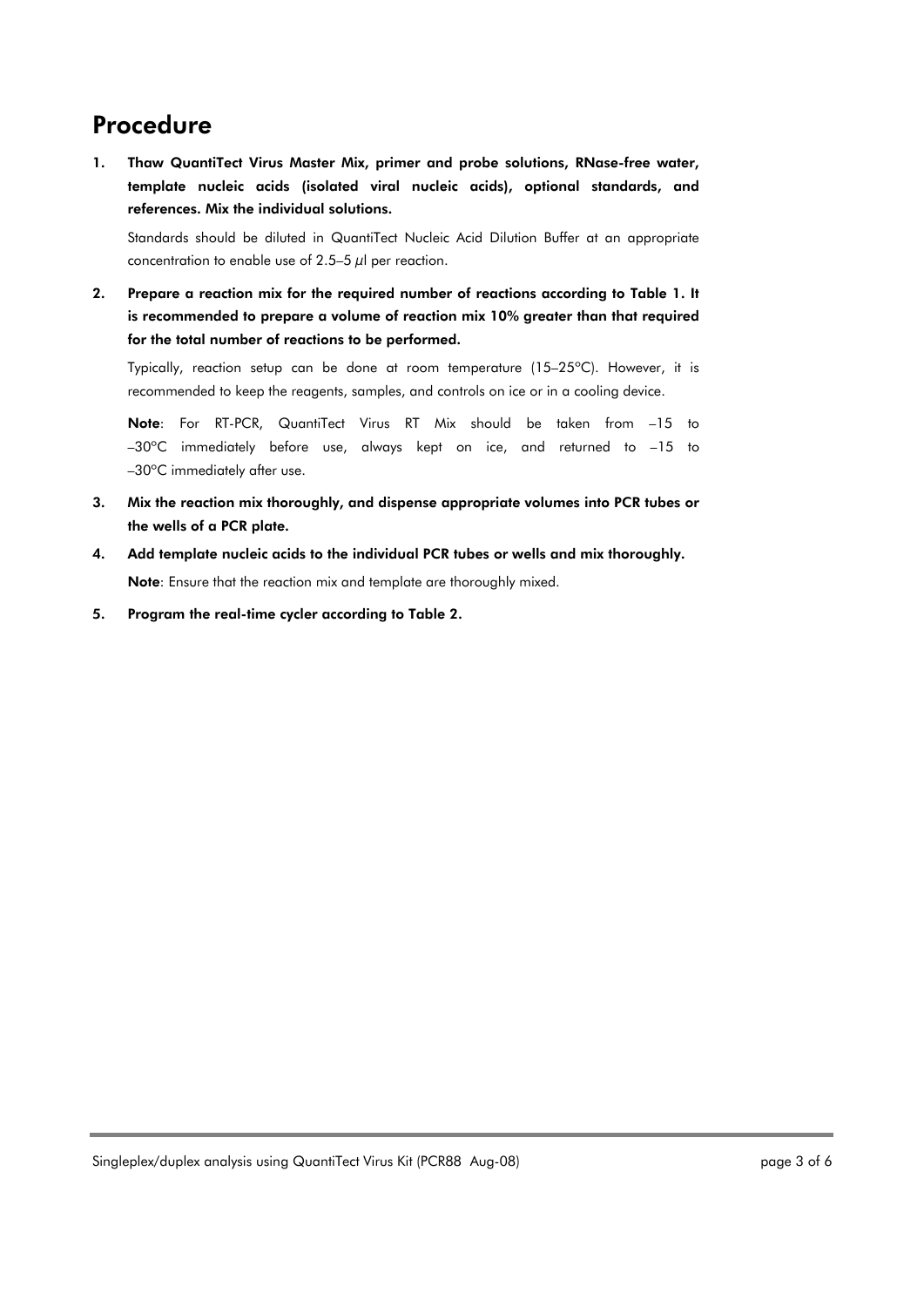## Procedure

1. Thaw QuantiTect Virus Master Mix, primer and probe solutions, RNase-free water, template nucleic acids (isolated viral nucleic acids), optional standards, and references. Mix the individual solutions.

Standards should be diluted in QuantiTect Nucleic Acid Dilution Buffer at an appropriate concentration to enable use of 2.5–5  $\mu$ l per reaction.

2. Prepare a reaction mix for the required number of reactions according to Table 1. It is recommended to prepare a volume of reaction mix 10% greater than that required for the total number of reactions to be performed.

Typically, reaction setup can be done at room temperature (15–25ºC). However, it is recommended to keep the reagents, samples, and controls on ice or in a cooling device.

Note: For RT-PCR, QuantiTect Virus RT Mix should be taken from –15 to –30ºC immediately before use, always kept on ice, and returned to –15 to –30ºC immediately after use.

- 3. Mix the reaction mix thoroughly, and dispense appropriate volumes into PCR tubes or the wells of a PCR plate.
- 4. Add template nucleic acids to the individual PCR tubes or wells and mix thoroughly. Note: Ensure that the reaction mix and template are thoroughly mixed.
- 5. Program the real-time cycler according to Table 2.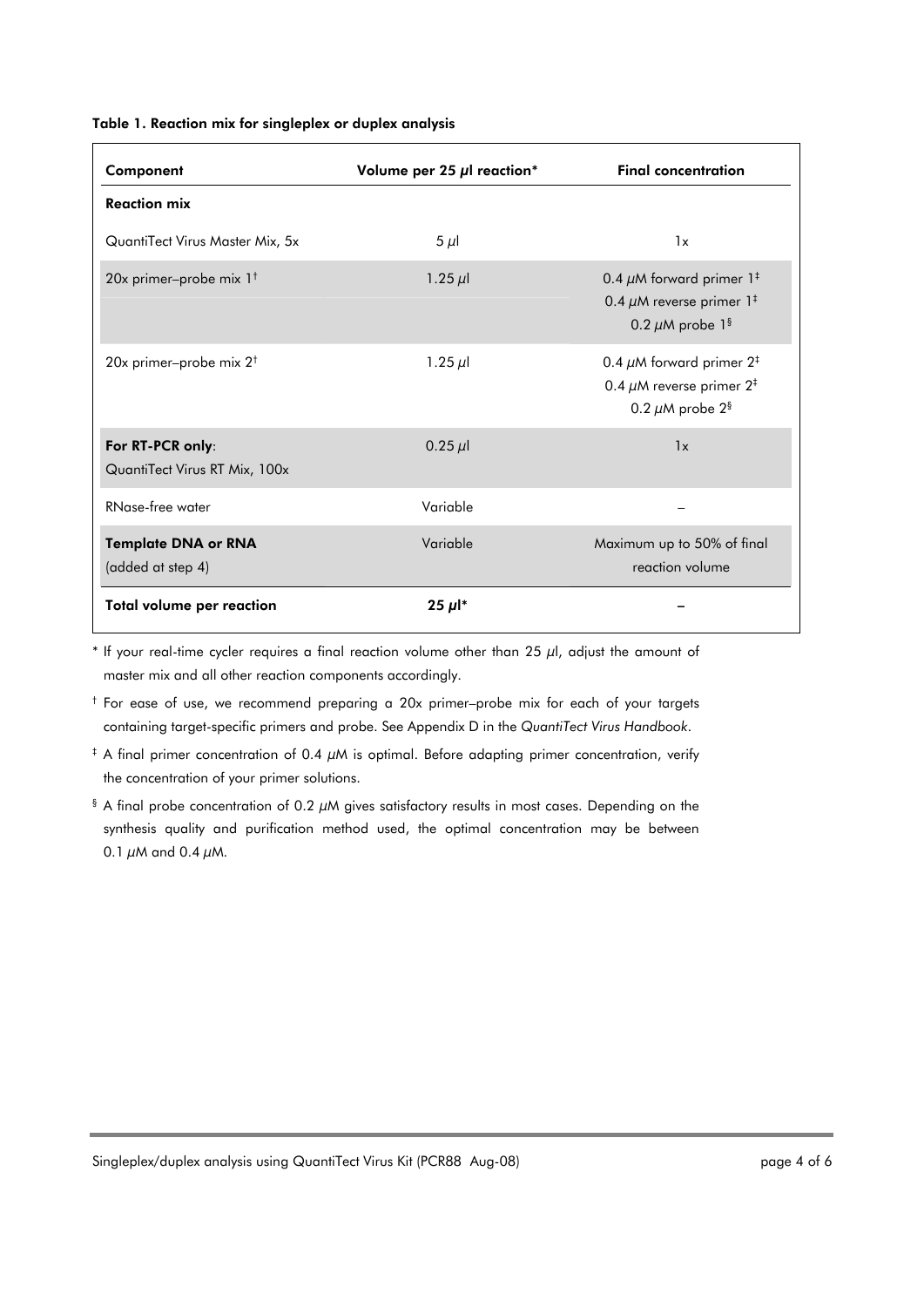#### Table 1. Reaction mix for singleplex or duplex analysis

| Component                                         | Volume per 25 µl reaction* | <b>Final concentration</b>                                                                                                 |
|---------------------------------------------------|----------------------------|----------------------------------------------------------------------------------------------------------------------------|
| <b>Reaction mix</b>                               |                            |                                                                                                                            |
| QuantiTect Virus Master Mix, 5x                   | $5 \mu$                    | 1x                                                                                                                         |
| 20x primer-probe mix $1^+$                        | 1.25 $\mu$                 | 0.4 $\mu$ M forward primer 1 <sup>‡</sup><br>0.4 $\mu$ M reverse primer 1 <sup>‡</sup><br>0.2 $\mu$ M probe 1 <sup>§</sup> |
| 20x primer-probe mix $2^+$                        | 1.25 $\mu$                 | 0.4 $\mu$ M forward primer 2 <sup>‡</sup><br>0.4 $\mu$ M reverse primer 2 <sup>‡</sup><br>0.2 $\mu$ M probe 2 <sup>§</sup> |
| For RT-PCR only:<br>QuantiTect Virus RT Mix, 100x | $0.25 \mu$                 | 1x                                                                                                                         |
| RNase-free water                                  | Variable                   |                                                                                                                            |
| <b>Template DNA or RNA</b><br>(added at step 4)   | Variable                   | Maximum up to 50% of final<br>reaction volume                                                                              |
| Total volume per reaction                         | $25 \mu$ <sup>*</sup>      |                                                                                                                            |

\* If your real-time cycler requires a final reaction volume other than 25  $\mu$ l, adjust the amount of master mix and all other reaction components accordingly.

† For ease of use, we recommend preparing a 20x primer–probe mix for each of your targets containing target-specific primers and probe. See Appendix D in the *QuantiTect Virus Handbook*.

- ‡ A final primer concentration of 0.4 μM is optimal. Before adapting primer concentration, verify the concentration of your primer solutions.
- $\frac{1}{3}$  A final probe concentration of 0.2  $\mu$ M gives satisfactory results in most cases. Depending on the synthesis quality and purification method used, the optimal concentration may be between 0.1  $\mu$ M and 0.4  $\mu$ M.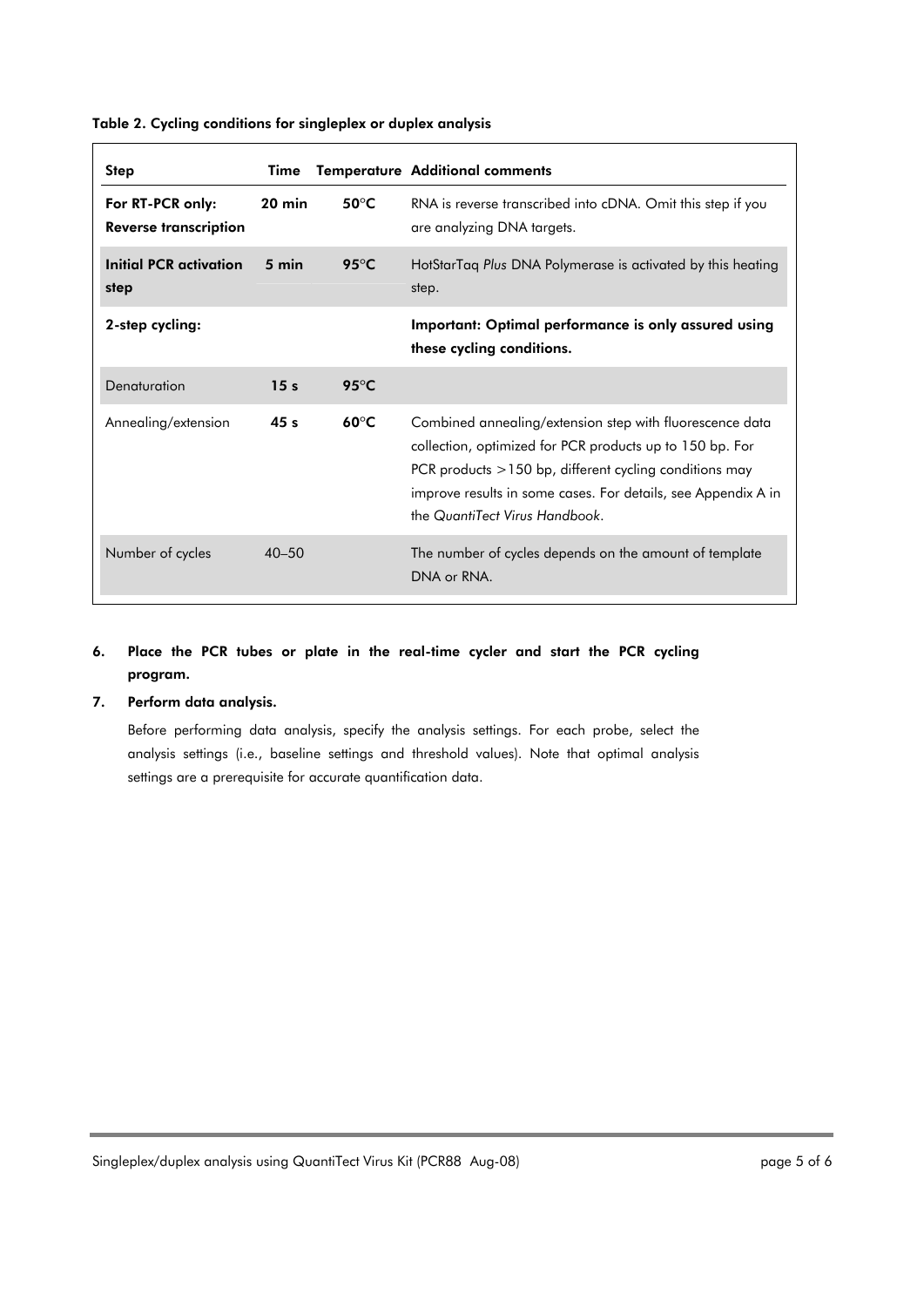| <b>Step</b>                                      | Time             |                         | <b>Temperature Additional comments</b>                                                                                                                                                                                                                                              |
|--------------------------------------------------|------------------|-------------------------|-------------------------------------------------------------------------------------------------------------------------------------------------------------------------------------------------------------------------------------------------------------------------------------|
| For RT-PCR only:<br><b>Reverse transcription</b> | $20 \text{ min}$ | $50^{\circ}$ C          | RNA is reverse transcribed into cDNA. Omit this step if you<br>are analyzing DNA targets.                                                                                                                                                                                           |
| Initial PCR activation<br>step                   | 5 min            | 95 $\mathrm{^{\circ}C}$ | HotStarTag Plus DNA Polymerase is activated by this heating<br>step.                                                                                                                                                                                                                |
| 2-step cycling:                                  |                  |                         | Important: Optimal performance is only assured using<br>these cycling conditions.                                                                                                                                                                                                   |
| Denaturation                                     | 15 <sub>s</sub>  | $95^{\circ}$ C          |                                                                                                                                                                                                                                                                                     |
| Annealing/extension                              | 45 <sub>s</sub>  | $60^{\circ}C$           | Combined annealing/extension step with fluorescence data<br>collection, optimized for PCR products up to 150 bp. For<br>PCR products $>150$ bp, different cycling conditions may<br>improve results in some cases. For details, see Appendix A in<br>the QuantiTect Virus Handbook. |
| Number of cycles                                 | $40 - 50$        |                         | The number of cycles depends on the amount of template<br>DNA or RNA.                                                                                                                                                                                                               |

Table 2. Cycling conditions for singleplex or duplex analysis

### 6. Place the PCR tubes or plate in the real-time cycler and start the PCR cycling program.

### 7. Perform data analysis.

Before performing data analysis, specify the analysis settings. For each probe, select the analysis settings (i.e., baseline settings and threshold values). Note that optimal analysis settings are a prerequisite for accurate quantification data.